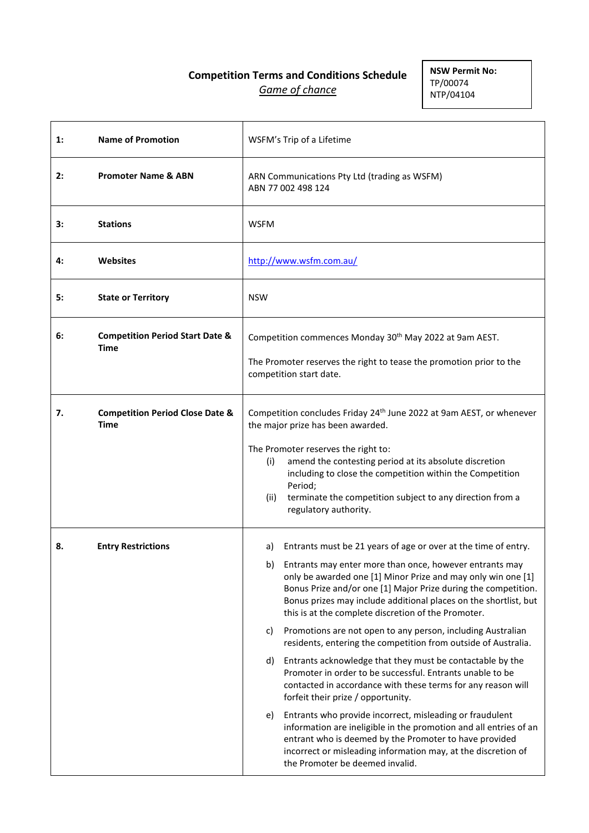# **Competition Terms and Conditions Schedule** *Game of chance*

**NSW Permit No:** TP/00074 NTP/04104

| $\mathbf{1}$ : | <b>Name of Promotion</b>                           | WSFM's Trip of a Lifetime                                                                                                                                                                                                                                                                                                                                                                                                                                                                                                                                                                                                                                                                                                                                                                                                                                                                                                                                                                                                                                                         |
|----------------|----------------------------------------------------|-----------------------------------------------------------------------------------------------------------------------------------------------------------------------------------------------------------------------------------------------------------------------------------------------------------------------------------------------------------------------------------------------------------------------------------------------------------------------------------------------------------------------------------------------------------------------------------------------------------------------------------------------------------------------------------------------------------------------------------------------------------------------------------------------------------------------------------------------------------------------------------------------------------------------------------------------------------------------------------------------------------------------------------------------------------------------------------|
| 2:             | <b>Promoter Name &amp; ABN</b>                     | ARN Communications Pty Ltd (trading as WSFM)<br>ABN 77 002 498 124                                                                                                                                                                                                                                                                                                                                                                                                                                                                                                                                                                                                                                                                                                                                                                                                                                                                                                                                                                                                                |
| 3:             | <b>Stations</b>                                    | <b>WSFM</b>                                                                                                                                                                                                                                                                                                                                                                                                                                                                                                                                                                                                                                                                                                                                                                                                                                                                                                                                                                                                                                                                       |
| 4:             | Websites                                           | http://www.wsfm.com.au/                                                                                                                                                                                                                                                                                                                                                                                                                                                                                                                                                                                                                                                                                                                                                                                                                                                                                                                                                                                                                                                           |
| 5:             | <b>State or Territory</b>                          | <b>NSW</b>                                                                                                                                                                                                                                                                                                                                                                                                                                                                                                                                                                                                                                                                                                                                                                                                                                                                                                                                                                                                                                                                        |
| 6:             | <b>Competition Period Start Date &amp;</b><br>Time | Competition commences Monday 30 <sup>th</sup> May 2022 at 9am AEST.<br>The Promoter reserves the right to tease the promotion prior to the<br>competition start date.                                                                                                                                                                                                                                                                                                                                                                                                                                                                                                                                                                                                                                                                                                                                                                                                                                                                                                             |
| 7.             | <b>Competition Period Close Date &amp;</b><br>Time | Competition concludes Friday 24 <sup>th</sup> June 2022 at 9am AEST, or whenever<br>the major prize has been awarded.<br>The Promoter reserves the right to:<br>amend the contesting period at its absolute discretion<br>(i)<br>including to close the competition within the Competition<br>Period;<br>(ii)<br>terminate the competition subject to any direction from a<br>regulatory authority.                                                                                                                                                                                                                                                                                                                                                                                                                                                                                                                                                                                                                                                                               |
| 8.             | <b>Entry Restrictions</b>                          | Entrants must be 21 years of age or over at the time of entry.<br>a)<br>b) Entrants may enter more than once, however entrants may<br>only be awarded one [1] Minor Prize and may only win one [1]<br>Bonus Prize and/or one [1] Major Prize during the competition.<br>Bonus prizes may include additional places on the shortlist, but<br>this is at the complete discretion of the Promoter.<br>Promotions are not open to any person, including Australian<br>c)<br>residents, entering the competition from outside of Australia.<br>Entrants acknowledge that they must be contactable by the<br>d)<br>Promoter in order to be successful. Entrants unable to be<br>contacted in accordance with these terms for any reason will<br>forfeit their prize / opportunity.<br>Entrants who provide incorrect, misleading or fraudulent<br>e)<br>information are ineligible in the promotion and all entries of an<br>entrant who is deemed by the Promoter to have provided<br>incorrect or misleading information may, at the discretion of<br>the Promoter be deemed invalid. |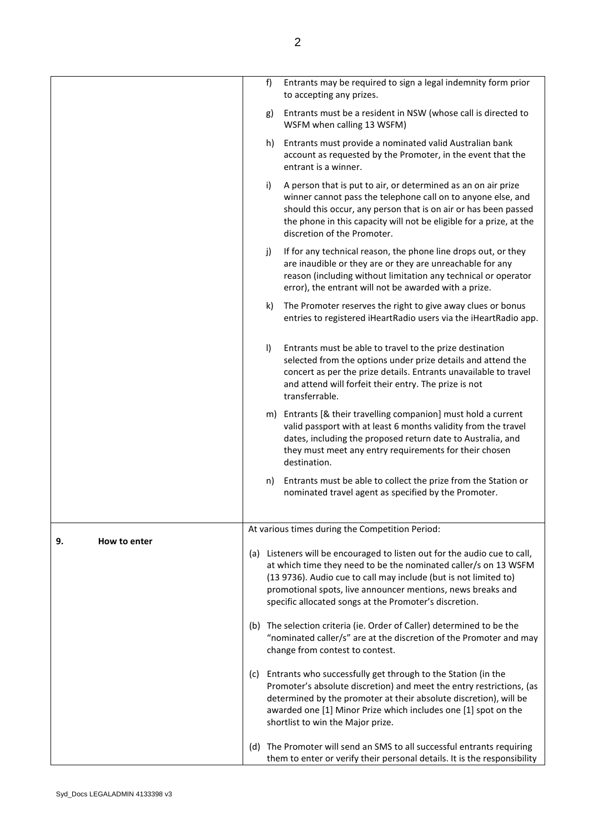|                    | f)      | Entrants may be required to sign a legal indemnity form prior<br>to accepting any prizes.                                                                                                                                                                                                                                                 |
|--------------------|---------|-------------------------------------------------------------------------------------------------------------------------------------------------------------------------------------------------------------------------------------------------------------------------------------------------------------------------------------------|
|                    | g)      | Entrants must be a resident in NSW (whose call is directed to<br>WSFM when calling 13 WSFM)                                                                                                                                                                                                                                               |
|                    | h)      | Entrants must provide a nominated valid Australian bank<br>account as requested by the Promoter, in the event that the<br>entrant is a winner.                                                                                                                                                                                            |
|                    | i)      | A person that is put to air, or determined as an on air prize<br>winner cannot pass the telephone call on to anyone else, and<br>should this occur, any person that is on air or has been passed<br>the phone in this capacity will not be eligible for a prize, at the<br>discretion of the Promoter.                                    |
|                    | j)      | If for any technical reason, the phone line drops out, or they<br>are inaudible or they are or they are unreachable for any<br>reason (including without limitation any technical or operator<br>error), the entrant will not be awarded with a prize.                                                                                    |
|                    | k)      | The Promoter reserves the right to give away clues or bonus<br>entries to registered iHeartRadio users via the iHeartRadio app.                                                                                                                                                                                                           |
|                    | $\vert$ | Entrants must be able to travel to the prize destination<br>selected from the options under prize details and attend the<br>concert as per the prize details. Entrants unavailable to travel<br>and attend will forfeit their entry. The prize is not<br>transferrable.                                                                   |
|                    |         | m) Entrants [& their travelling companion] must hold a current<br>valid passport with at least 6 months validity from the travel<br>dates, including the proposed return date to Australia, and<br>they must meet any entry requirements for their chosen<br>destination.                                                                 |
|                    | n)      | Entrants must be able to collect the prize from the Station or<br>nominated travel agent as specified by the Promoter.                                                                                                                                                                                                                    |
|                    |         | At various times during the Competition Period:                                                                                                                                                                                                                                                                                           |
| How to enter<br>9. |         | (a) Listeners will be encouraged to listen out for the audio cue to call,<br>at which time they need to be the nominated caller/s on 13 WSFM<br>(13 9736). Audio cue to call may include (but is not limited to)<br>promotional spots, live announcer mentions, news breaks and<br>specific allocated songs at the Promoter's discretion. |
|                    |         | (b) The selection criteria (ie. Order of Caller) determined to be the<br>"nominated caller/s" are at the discretion of the Promoter and may<br>change from contest to contest.                                                                                                                                                            |
|                    |         | (c) Entrants who successfully get through to the Station (in the<br>Promoter's absolute discretion) and meet the entry restrictions, (as<br>determined by the promoter at their absolute discretion), will be<br>awarded one [1] Minor Prize which includes one [1] spot on the<br>shortlist to win the Major prize.                      |
|                    |         | (d) The Promoter will send an SMS to all successful entrants requiring<br>them to enter or verify their personal details. It is the responsibility                                                                                                                                                                                        |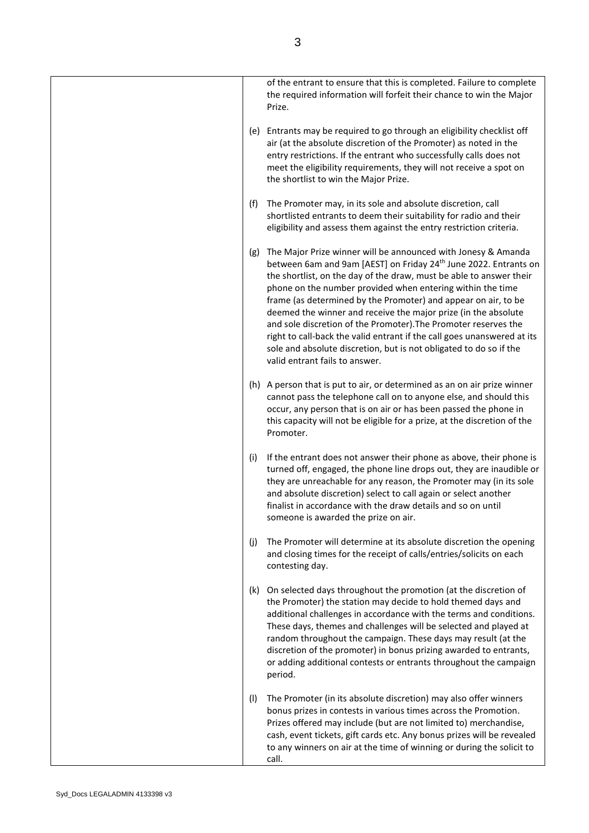|     | of the entrant to ensure that this is completed. Failure to complete<br>the required information will forfeit their chance to win the Major<br>Prize.                                                                                                                                                                                                                                                                                                                                                                                                                                                                                                                        |
|-----|------------------------------------------------------------------------------------------------------------------------------------------------------------------------------------------------------------------------------------------------------------------------------------------------------------------------------------------------------------------------------------------------------------------------------------------------------------------------------------------------------------------------------------------------------------------------------------------------------------------------------------------------------------------------------|
|     | (e) Entrants may be required to go through an eligibility checklist off<br>air (at the absolute discretion of the Promoter) as noted in the<br>entry restrictions. If the entrant who successfully calls does not<br>meet the eligibility requirements, they will not receive a spot on<br>the shortlist to win the Major Prize.                                                                                                                                                                                                                                                                                                                                             |
| (f) | The Promoter may, in its sole and absolute discretion, call<br>shortlisted entrants to deem their suitability for radio and their<br>eligibility and assess them against the entry restriction criteria.                                                                                                                                                                                                                                                                                                                                                                                                                                                                     |
| (g) | The Major Prize winner will be announced with Jonesy & Amanda<br>between 6am and 9am [AEST] on Friday 24 <sup>th</sup> June 2022. Entrants on<br>the shortlist, on the day of the draw, must be able to answer their<br>phone on the number provided when entering within the time<br>frame (as determined by the Promoter) and appear on air, to be<br>deemed the winner and receive the major prize (in the absolute<br>and sole discretion of the Promoter). The Promoter reserves the<br>right to call-back the valid entrant if the call goes unanswered at its<br>sole and absolute discretion, but is not obligated to do so if the<br>valid entrant fails to answer. |
|     | (h) A person that is put to air, or determined as an on air prize winner<br>cannot pass the telephone call on to anyone else, and should this<br>occur, any person that is on air or has been passed the phone in<br>this capacity will not be eligible for a prize, at the discretion of the<br>Promoter.                                                                                                                                                                                                                                                                                                                                                                   |
| (i) | If the entrant does not answer their phone as above, their phone is<br>turned off, engaged, the phone line drops out, they are inaudible or<br>they are unreachable for any reason, the Promoter may (in its sole<br>and absolute discretion) select to call again or select another<br>finalist in accordance with the draw details and so on until<br>someone is awarded the prize on air.                                                                                                                                                                                                                                                                                 |
| (j) | The Promoter will determine at its absolute discretion the opening<br>and closing times for the receipt of calls/entries/solicits on each<br>contesting day.                                                                                                                                                                                                                                                                                                                                                                                                                                                                                                                 |
| (k) | On selected days throughout the promotion (at the discretion of<br>the Promoter) the station may decide to hold themed days and<br>additional challenges in accordance with the terms and conditions.<br>These days, themes and challenges will be selected and played at<br>random throughout the campaign. These days may result (at the<br>discretion of the promoter) in bonus prizing awarded to entrants,<br>or adding additional contests or entrants throughout the campaign<br>period.                                                                                                                                                                              |
| (1) | The Promoter (in its absolute discretion) may also offer winners<br>bonus prizes in contests in various times across the Promotion.<br>Prizes offered may include (but are not limited to) merchandise,<br>cash, event tickets, gift cards etc. Any bonus prizes will be revealed<br>to any winners on air at the time of winning or during the solicit to<br>call.                                                                                                                                                                                                                                                                                                          |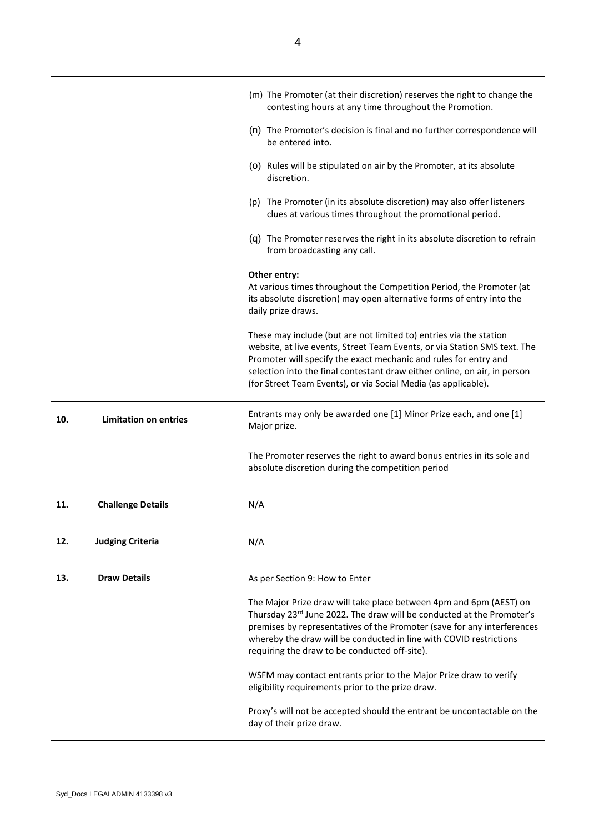|                                     | (m) The Promoter (at their discretion) reserves the right to change the<br>contesting hours at any time throughout the Promotion.                                                                                                                                                                                                                                  |
|-------------------------------------|--------------------------------------------------------------------------------------------------------------------------------------------------------------------------------------------------------------------------------------------------------------------------------------------------------------------------------------------------------------------|
|                                     | (n) The Promoter's decision is final and no further correspondence will<br>be entered into.                                                                                                                                                                                                                                                                        |
|                                     | (o) Rules will be stipulated on air by the Promoter, at its absolute<br>discretion.                                                                                                                                                                                                                                                                                |
|                                     | (p) The Promoter (in its absolute discretion) may also offer listeners<br>clues at various times throughout the promotional period.                                                                                                                                                                                                                                |
|                                     | (q) The Promoter reserves the right in its absolute discretion to refrain<br>from broadcasting any call.                                                                                                                                                                                                                                                           |
|                                     | Other entry:<br>At various times throughout the Competition Period, the Promoter (at<br>its absolute discretion) may open alternative forms of entry into the<br>daily prize draws.                                                                                                                                                                                |
|                                     | These may include (but are not limited to) entries via the station<br>website, at live events, Street Team Events, or via Station SMS text. The<br>Promoter will specify the exact mechanic and rules for entry and<br>selection into the final contestant draw either online, on air, in person<br>(for Street Team Events), or via Social Media (as applicable). |
| <b>Limitation on entries</b><br>10. | Entrants may only be awarded one [1] Minor Prize each, and one [1]<br>Major prize.                                                                                                                                                                                                                                                                                 |
|                                     | The Promoter reserves the right to award bonus entries in its sole and<br>absolute discretion during the competition period                                                                                                                                                                                                                                        |
| <b>Challenge Details</b><br>11.     | N/A                                                                                                                                                                                                                                                                                                                                                                |
| <b>Judging Criteria</b><br>12.      | N/A                                                                                                                                                                                                                                                                                                                                                                |
| <b>Draw Details</b><br>13.          | As per Section 9: How to Enter                                                                                                                                                                                                                                                                                                                                     |
|                                     | The Major Prize draw will take place between 4pm and 6pm (AEST) on<br>Thursday 23rd June 2022. The draw will be conducted at the Promoter's<br>premises by representatives of the Promoter (save for any interferences<br>whereby the draw will be conducted in line with COVID restrictions<br>requiring the draw to be conducted off-site).                      |
|                                     | WSFM may contact entrants prior to the Major Prize draw to verify<br>eligibility requirements prior to the prize draw.                                                                                                                                                                                                                                             |
|                                     | Proxy's will not be accepted should the entrant be uncontactable on the<br>day of their prize draw.                                                                                                                                                                                                                                                                |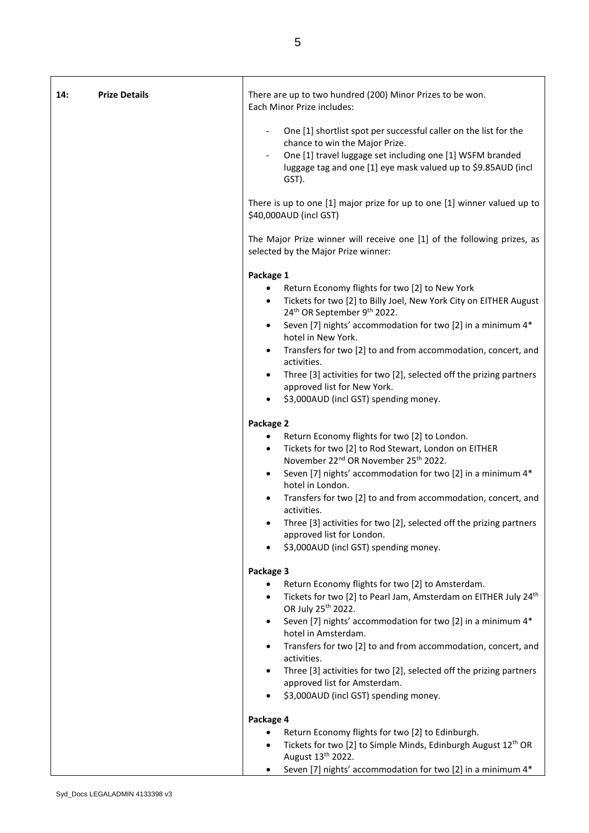| 14: | <b>Prize Details</b> | There are up to two hundred (200) Minor Prizes to be won.<br>Each Minor Prize includes:                                                                                                                                                   |
|-----|----------------------|-------------------------------------------------------------------------------------------------------------------------------------------------------------------------------------------------------------------------------------------|
|     |                      | One [1] shortlist spot per successful caller on the list for the<br>chance to win the Major Prize.<br>One [1] travel luggage set including one [1] WSFM branded<br>luggage tag and one [1] eye mask valued up to \$9.85AUD (incl<br>GST). |
|     |                      | There is up to one [1] major prize for up to one [1] winner valued up to<br>\$40,000AUD (incl GST)                                                                                                                                        |
|     |                      | The Major Prize winner will receive one [1] of the following prizes, as<br>selected by the Major Prize winner:                                                                                                                            |
|     |                      | Package 1                                                                                                                                                                                                                                 |
|     |                      | Return Economy flights for two [2] to New York<br>٠<br>Tickets for two [2] to Billy Joel, New York City on EITHER August<br>$\bullet$<br>24 <sup>th</sup> OR September 9 <sup>th</sup> 2022.                                              |
|     |                      | Seven [7] nights' accommodation for two [2] in a minimum 4*<br>hotel in New York.                                                                                                                                                         |
|     |                      | Transfers for two [2] to and from accommodation, concert, and<br>activities.                                                                                                                                                              |
|     |                      | Three [3] activities for two [2], selected off the prizing partners<br>$\bullet$<br>approved list for New York.                                                                                                                           |
|     |                      | \$3,000AUD (incl GST) spending money.<br>٠                                                                                                                                                                                                |
|     |                      | Package 2                                                                                                                                                                                                                                 |
|     |                      | Return Economy flights for two [2] to London.<br>Tickets for two [2] to Rod Stewart, London on EITHER<br>$\bullet$<br>November 22 <sup>nd</sup> OR November 25 <sup>th</sup> 2022.                                                        |
|     |                      | Seven [7] nights' accommodation for two [2] in a minimum 4*<br>hotel in London.                                                                                                                                                           |
|     |                      | Transfers for two [2] to and from accommodation, concert, and<br>activities.                                                                                                                                                              |
|     |                      | Three [3] activities for two [2], selected off the prizing partners<br>approved list for London.                                                                                                                                          |
|     |                      | \$3,000AUD (incl GST) spending money.                                                                                                                                                                                                     |
|     |                      | Package 3                                                                                                                                                                                                                                 |
|     |                      | Return Economy flights for two [2] to Amsterdam.                                                                                                                                                                                          |
|     |                      | Tickets for two [2] to Pearl Jam, Amsterdam on EITHER July 24 <sup>th</sup><br>$\bullet$<br>OR July 25 <sup>th</sup> 2022.                                                                                                                |
|     |                      | Seven [7] nights' accommodation for two [2] in a minimum 4*<br>$\bullet$<br>hotel in Amsterdam.                                                                                                                                           |
|     |                      | Transfers for two [2] to and from accommodation, concert, and<br>activities.                                                                                                                                                              |
|     |                      | Three [3] activities for two [2], selected off the prizing partners<br>approved list for Amsterdam.                                                                                                                                       |
|     |                      | \$3,000AUD (incl GST) spending money.                                                                                                                                                                                                     |
|     |                      | Package 4                                                                                                                                                                                                                                 |
|     |                      | Return Economy flights for two [2] to Edinburgh.                                                                                                                                                                                          |
|     |                      | Tickets for two [2] to Simple Minds, Edinburgh August 12 <sup>th</sup> OR                                                                                                                                                                 |
|     |                      | August 13 <sup>th</sup> 2022.<br>Seven [7] nights' accommodation for two [2] in a minimum 4*<br>$\bullet$                                                                                                                                 |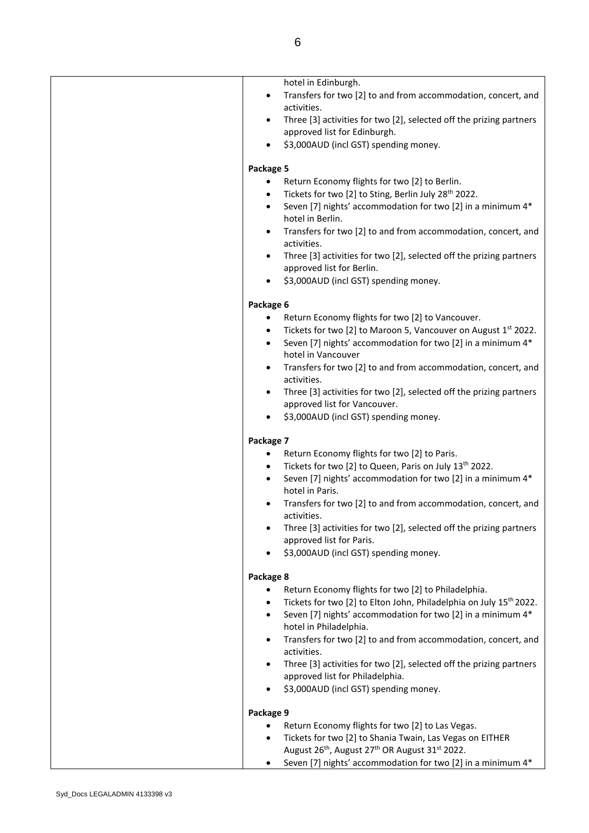| hotel in Edinburgh.<br>Transfers for two [2] to and from accommodation, concert, and<br>$\bullet$<br>activities.<br>Three [3] activities for two [2], selected off the prizing partners<br>$\bullet$<br>approved list for Edinburgh.<br>\$3,000AUD (incl GST) spending money.<br>Package 5<br>Return Economy flights for two [2] to Berlin.<br>Tickets for two [2] to Sting, Berlin July 28 <sup>th</sup> 2022.<br>$\bullet$<br>Seven [7] nights' accommodation for two [2] in a minimum 4*<br>hotel in Berlin.<br>Transfers for two [2] to and from accommodation, concert, and<br>activities.<br>Three [3] activities for two [2], selected off the prizing partners<br>approved list for Berlin.<br>\$3,000AUD (incl GST) spending money.<br>Package 6<br>Return Economy flights for two [2] to Vancouver.<br>Tickets for two [2] to Maroon 5, Vancouver on August 1st 2022.<br>Seven [7] nights' accommodation for two [2] in a minimum 4*<br>$\bullet$<br>hotel in Vancouver<br>Transfers for two [2] to and from accommodation, concert, and<br>activities.<br>Three [3] activities for two [2], selected off the prizing partners |
|------------------------------------------------------------------------------------------------------------------------------------------------------------------------------------------------------------------------------------------------------------------------------------------------------------------------------------------------------------------------------------------------------------------------------------------------------------------------------------------------------------------------------------------------------------------------------------------------------------------------------------------------------------------------------------------------------------------------------------------------------------------------------------------------------------------------------------------------------------------------------------------------------------------------------------------------------------------------------------------------------------------------------------------------------------------------------------------------------------------------------------------|
| approved list for Vancouver.<br>\$3,000AUD (incl GST) spending money.                                                                                                                                                                                                                                                                                                                                                                                                                                                                                                                                                                                                                                                                                                                                                                                                                                                                                                                                                                                                                                                                    |
|                                                                                                                                                                                                                                                                                                                                                                                                                                                                                                                                                                                                                                                                                                                                                                                                                                                                                                                                                                                                                                                                                                                                          |
| Package 7<br>Return Economy flights for two [2] to Paris.<br>Tickets for two [2] to Queen, Paris on July 13th 2022.<br>Seven [7] nights' accommodation for two [2] in a minimum 4*<br>hotel in Paris.<br>Transfers for two [2] to and from accommodation, concert, and<br>activities.<br>Three [3] activities for two [2], selected off the prizing partners<br>approved list for Paris.<br>\$3,000AUD (incl GST) spending money.                                                                                                                                                                                                                                                                                                                                                                                                                                                                                                                                                                                                                                                                                                        |
| Package 8<br>Return Economy flights for two [2] to Philadelphia.<br>Tickets for two [2] to Elton John, Philadelphia on July 15 <sup>th</sup> 2022.<br>Seven [7] nights' accommodation for two [2] in a minimum 4*<br>$\bullet$<br>hotel in Philadelphia.<br>Transfers for two [2] to and from accommodation, concert, and<br>activities.<br>Three [3] activities for two [2], selected off the prizing partners<br>approved list for Philadelphia.<br>\$3,000AUD (incl GST) spending money.                                                                                                                                                                                                                                                                                                                                                                                                                                                                                                                                                                                                                                              |
| Package 9                                                                                                                                                                                                                                                                                                                                                                                                                                                                                                                                                                                                                                                                                                                                                                                                                                                                                                                                                                                                                                                                                                                                |
| Return Economy flights for two [2] to Las Vegas.<br>$\bullet$                                                                                                                                                                                                                                                                                                                                                                                                                                                                                                                                                                                                                                                                                                                                                                                                                                                                                                                                                                                                                                                                            |
|                                                                                                                                                                                                                                                                                                                                                                                                                                                                                                                                                                                                                                                                                                                                                                                                                                                                                                                                                                                                                                                                                                                                          |
| Tickets for two [2] to Shania Twain, Las Vegas on EITHER<br>$\bullet$<br>August 26 <sup>th</sup> , August 27 <sup>th</sup> OR August 31 <sup>st</sup> 2022.                                                                                                                                                                                                                                                                                                                                                                                                                                                                                                                                                                                                                                                                                                                                                                                                                                                                                                                                                                              |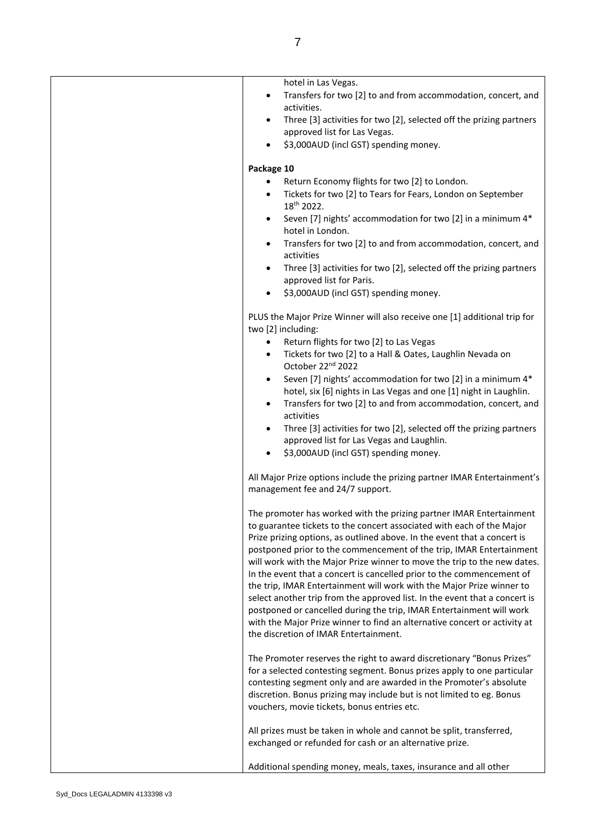| hotel in Las Vegas.                                                                                                                               |
|---------------------------------------------------------------------------------------------------------------------------------------------------|
| Transfers for two [2] to and from accommodation, concert, and<br>activities.                                                                      |
| Three [3] activities for two [2], selected off the prizing partners<br>approved list for Las Vegas.                                               |
| \$3,000AUD (incl GST) spending money.                                                                                                             |
| Package 10                                                                                                                                        |
| Return Economy flights for two [2] to London.                                                                                                     |
| Tickets for two [2] to Tears for Fears, London on September<br>18 <sup>th</sup> 2022.                                                             |
| Seven [7] nights' accommodation for two [2] in a minimum 4*<br>hotel in London.                                                                   |
| Transfers for two [2] to and from accommodation, concert, and<br>activities                                                                       |
| Three [3] activities for two [2], selected off the prizing partners<br>approved list for Paris.                                                   |
| \$3,000AUD (incl GST) spending money.                                                                                                             |
| PLUS the Major Prize Winner will also receive one [1] additional trip for<br>two [2] including:                                                   |
| Return flights for two [2] to Las Vegas<br>$\bullet$                                                                                              |
| Tickets for two [2] to a Hall & Oates, Laughlin Nevada on<br>$\bullet$<br>October 22 <sup>nd</sup> 2022                                           |
| Seven [7] nights' accommodation for two [2] in a minimum 4*                                                                                       |
| hotel, six [6] nights in Las Vegas and one [1] night in Laughlin.<br>Transfers for two [2] to and from accommodation, concert, and                |
| activities                                                                                                                                        |
| Three [3] activities for two [2], selected off the prizing partners                                                                               |
| approved list for Las Vegas and Laughlin.                                                                                                         |
| \$3,000AUD (incl GST) spending money.                                                                                                             |
| All Major Prize options include the prizing partner IMAR Entertainment's<br>management fee and 24/7 support.                                      |
| The promoter has worked with the prizing partner IMAR Entertainment<br>to guarantee tickets to the concert associated with each of the Major      |
| Prize prizing options, as outlined above. In the event that a concert is                                                                          |
| postponed prior to the commencement of the trip, IMAR Entertainment                                                                               |
| will work with the Major Prize winner to move the trip to the new dates.<br>In the event that a concert is cancelled prior to the commencement of |
| the trip, IMAR Entertainment will work with the Major Prize winner to                                                                             |
| select another trip from the approved list. In the event that a concert is                                                                        |
| postponed or cancelled during the trip, IMAR Entertainment will work<br>with the Major Prize winner to find an alternative concert or activity at |
| the discretion of IMAR Entertainment.                                                                                                             |
| The Promoter reserves the right to award discretionary "Bonus Prizes"                                                                             |
| for a selected contesting segment. Bonus prizes apply to one particular<br>contesting segment only and are awarded in the Promoter's absolute     |
| discretion. Bonus prizing may include but is not limited to eg. Bonus                                                                             |
| vouchers, movie tickets, bonus entries etc.                                                                                                       |
| All prizes must be taken in whole and cannot be split, transferred,                                                                               |
| exchanged or refunded for cash or an alternative prize.                                                                                           |
| Additional spending money, meals, taxes, insurance and all other                                                                                  |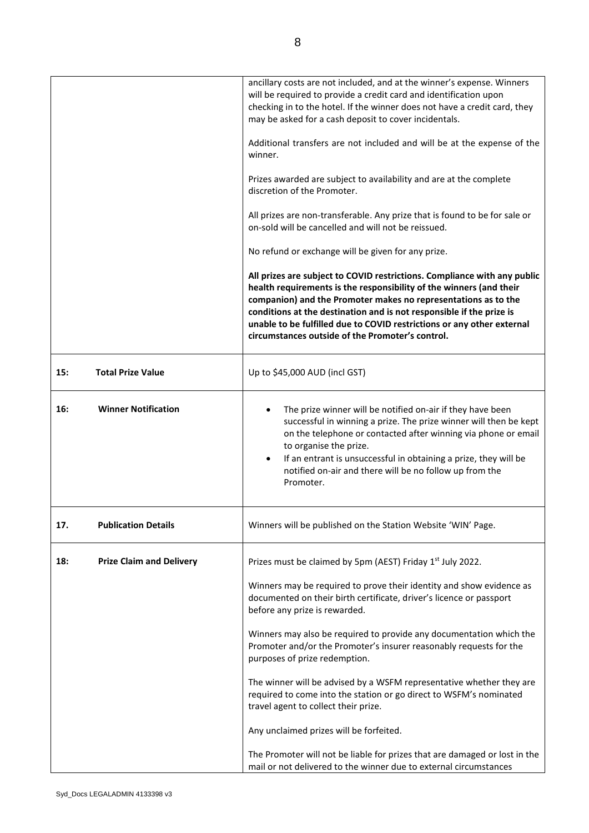|     |                                 | ancillary costs are not included, and at the winner's expense. Winners<br>will be required to provide a credit card and identification upon<br>checking in to the hotel. If the winner does not have a credit card, they<br>may be asked for a cash deposit to cover incidentals.                                                                                                                                       |
|-----|---------------------------------|-------------------------------------------------------------------------------------------------------------------------------------------------------------------------------------------------------------------------------------------------------------------------------------------------------------------------------------------------------------------------------------------------------------------------|
|     |                                 | Additional transfers are not included and will be at the expense of the<br>winner.                                                                                                                                                                                                                                                                                                                                      |
|     |                                 | Prizes awarded are subject to availability and are at the complete<br>discretion of the Promoter.                                                                                                                                                                                                                                                                                                                       |
|     |                                 | All prizes are non-transferable. Any prize that is found to be for sale or<br>on-sold will be cancelled and will not be reissued.                                                                                                                                                                                                                                                                                       |
|     |                                 | No refund or exchange will be given for any prize.                                                                                                                                                                                                                                                                                                                                                                      |
|     |                                 | All prizes are subject to COVID restrictions. Compliance with any public<br>health requirements is the responsibility of the winners (and their<br>companion) and the Promoter makes no representations as to the<br>conditions at the destination and is not responsible if the prize is<br>unable to be fulfilled due to COVID restrictions or any other external<br>circumstances outside of the Promoter's control. |
| 15: | <b>Total Prize Value</b>        | Up to \$45,000 AUD (incl GST)                                                                                                                                                                                                                                                                                                                                                                                           |
| 16: | <b>Winner Notification</b>      | The prize winner will be notified on-air if they have been<br>successful in winning a prize. The prize winner will then be kept<br>on the telephone or contacted after winning via phone or email<br>to organise the prize.<br>If an entrant is unsuccessful in obtaining a prize, they will be<br>notified on-air and there will be no follow up from the<br>Promoter.                                                 |
| 17. | <b>Publication Details</b>      | Winners will be published on the Station Website 'WIN' Page.                                                                                                                                                                                                                                                                                                                                                            |
| 18: | <b>Prize Claim and Delivery</b> | Prizes must be claimed by 5pm (AEST) Friday 1st July 2022.                                                                                                                                                                                                                                                                                                                                                              |
|     |                                 | Winners may be required to prove their identity and show evidence as<br>documented on their birth certificate, driver's licence or passport<br>before any prize is rewarded.                                                                                                                                                                                                                                            |
|     |                                 | Winners may also be required to provide any documentation which the<br>Promoter and/or the Promoter's insurer reasonably requests for the<br>purposes of prize redemption.                                                                                                                                                                                                                                              |
|     |                                 | The winner will be advised by a WSFM representative whether they are<br>required to come into the station or go direct to WSFM's nominated<br>travel agent to collect their prize.                                                                                                                                                                                                                                      |
|     |                                 | Any unclaimed prizes will be forfeited.                                                                                                                                                                                                                                                                                                                                                                                 |
|     |                                 | The Promoter will not be liable for prizes that are damaged or lost in the<br>mail or not delivered to the winner due to external circumstances                                                                                                                                                                                                                                                                         |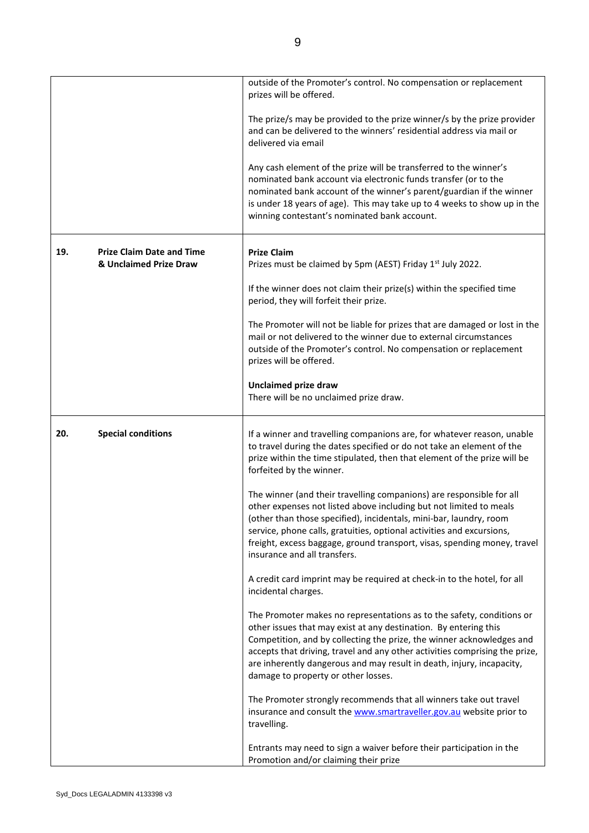|     |                                                            | outside of the Promoter's control. No compensation or replacement<br>prizes will be offered.                                                                                                                                                                                                                                                                                                                      |
|-----|------------------------------------------------------------|-------------------------------------------------------------------------------------------------------------------------------------------------------------------------------------------------------------------------------------------------------------------------------------------------------------------------------------------------------------------------------------------------------------------|
|     |                                                            | The prize/s may be provided to the prize winner/s by the prize provider<br>and can be delivered to the winners' residential address via mail or<br>delivered via email                                                                                                                                                                                                                                            |
|     |                                                            | Any cash element of the prize will be transferred to the winner's<br>nominated bank account via electronic funds transfer (or to the<br>nominated bank account of the winner's parent/guardian if the winner<br>is under 18 years of age). This may take up to 4 weeks to show up in the<br>winning contestant's nominated bank account.                                                                          |
| 19. | <b>Prize Claim Date and Time</b><br>& Unclaimed Prize Draw | <b>Prize Claim</b><br>Prizes must be claimed by 5pm (AEST) Friday 1 <sup>st</sup> July 2022.                                                                                                                                                                                                                                                                                                                      |
|     |                                                            | If the winner does not claim their prize(s) within the specified time<br>period, they will forfeit their prize.                                                                                                                                                                                                                                                                                                   |
|     |                                                            | The Promoter will not be liable for prizes that are damaged or lost in the<br>mail or not delivered to the winner due to external circumstances<br>outside of the Promoter's control. No compensation or replacement<br>prizes will be offered.                                                                                                                                                                   |
|     |                                                            | <b>Unclaimed prize draw</b><br>There will be no unclaimed prize draw.                                                                                                                                                                                                                                                                                                                                             |
| 20. | <b>Special conditions</b>                                  | If a winner and travelling companions are, for whatever reason, unable<br>to travel during the dates specified or do not take an element of the<br>prize within the time stipulated, then that element of the prize will be<br>forfeited by the winner.                                                                                                                                                           |
|     |                                                            | The winner (and their travelling companions) are responsible for all<br>other expenses not listed above including but not limited to meals<br>(other than those specified), incidentals, mini-bar, laundry, room<br>service, phone calls, gratuities, optional activities and excursions,<br>freight, excess baggage, ground transport, visas, spending money, travel<br>insurance and all transfers.             |
|     |                                                            | A credit card imprint may be required at check-in to the hotel, for all<br>incidental charges.                                                                                                                                                                                                                                                                                                                    |
|     |                                                            | The Promoter makes no representations as to the safety, conditions or<br>other issues that may exist at any destination. By entering this<br>Competition, and by collecting the prize, the winner acknowledges and<br>accepts that driving, travel and any other activities comprising the prize,<br>are inherently dangerous and may result in death, injury, incapacity,<br>damage to property or other losses. |
|     |                                                            | The Promoter strongly recommends that all winners take out travel<br>insurance and consult the www.smartraveller.gov.au website prior to<br>travelling.                                                                                                                                                                                                                                                           |
|     |                                                            | Entrants may need to sign a waiver before their participation in the<br>Promotion and/or claiming their prize                                                                                                                                                                                                                                                                                                     |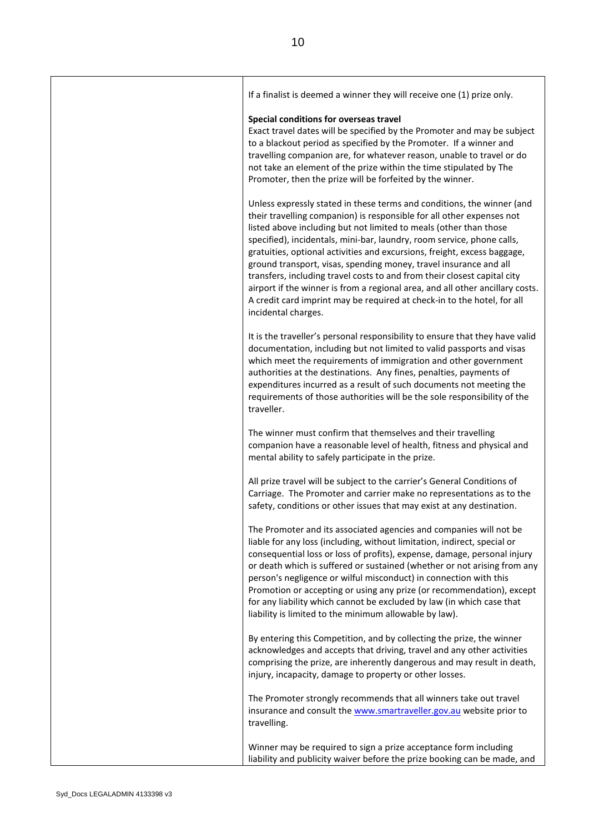| If a finalist is deemed a winner they will receive one (1) prize only.                                                                                                                                                                                                                                                                                                                                                                                                                                                                                                                                                                                                                                         |
|----------------------------------------------------------------------------------------------------------------------------------------------------------------------------------------------------------------------------------------------------------------------------------------------------------------------------------------------------------------------------------------------------------------------------------------------------------------------------------------------------------------------------------------------------------------------------------------------------------------------------------------------------------------------------------------------------------------|
| Special conditions for overseas travel<br>Exact travel dates will be specified by the Promoter and may be subject<br>to a blackout period as specified by the Promoter. If a winner and<br>travelling companion are, for whatever reason, unable to travel or do<br>not take an element of the prize within the time stipulated by The<br>Promoter, then the prize will be forfeited by the winner.                                                                                                                                                                                                                                                                                                            |
| Unless expressly stated in these terms and conditions, the winner (and<br>their travelling companion) is responsible for all other expenses not<br>listed above including but not limited to meals (other than those<br>specified), incidentals, mini-bar, laundry, room service, phone calls,<br>gratuities, optional activities and excursions, freight, excess baggage,<br>ground transport, visas, spending money, travel insurance and all<br>transfers, including travel costs to and from their closest capital city<br>airport if the winner is from a regional area, and all other ancillary costs.<br>A credit card imprint may be required at check-in to the hotel, for all<br>incidental charges. |
| It is the traveller's personal responsibility to ensure that they have valid<br>documentation, including but not limited to valid passports and visas<br>which meet the requirements of immigration and other government<br>authorities at the destinations. Any fines, penalties, payments of<br>expenditures incurred as a result of such documents not meeting the<br>requirements of those authorities will be the sole responsibility of the<br>traveller.                                                                                                                                                                                                                                                |
| The winner must confirm that themselves and their travelling<br>companion have a reasonable level of health, fitness and physical and<br>mental ability to safely participate in the prize.                                                                                                                                                                                                                                                                                                                                                                                                                                                                                                                    |
| All prize travel will be subject to the carrier's General Conditions of<br>Carriage. The Promoter and carrier make no representations as to the<br>safety, conditions or other issues that may exist at any destination.                                                                                                                                                                                                                                                                                                                                                                                                                                                                                       |
| The Promoter and its associated agencies and companies will not be<br>liable for any loss (including, without limitation, indirect, special or<br>consequential loss or loss of profits), expense, damage, personal injury<br>or death which is suffered or sustained (whether or not arising from any<br>person's negligence or wilful misconduct) in connection with this<br>Promotion or accepting or using any prize (or recommendation), except<br>for any liability which cannot be excluded by law (in which case that<br>liability is limited to the minimum allowable by law).                                                                                                                        |
| By entering this Competition, and by collecting the prize, the winner<br>acknowledges and accepts that driving, travel and any other activities<br>comprising the prize, are inherently dangerous and may result in death,<br>injury, incapacity, damage to property or other losses.                                                                                                                                                                                                                                                                                                                                                                                                                          |
| The Promoter strongly recommends that all winners take out travel<br>insurance and consult the www.smartraveller.gov.au website prior to<br>travelling.                                                                                                                                                                                                                                                                                                                                                                                                                                                                                                                                                        |
| Winner may be required to sign a prize acceptance form including<br>liability and publicity waiver before the prize booking can be made, and                                                                                                                                                                                                                                                                                                                                                                                                                                                                                                                                                                   |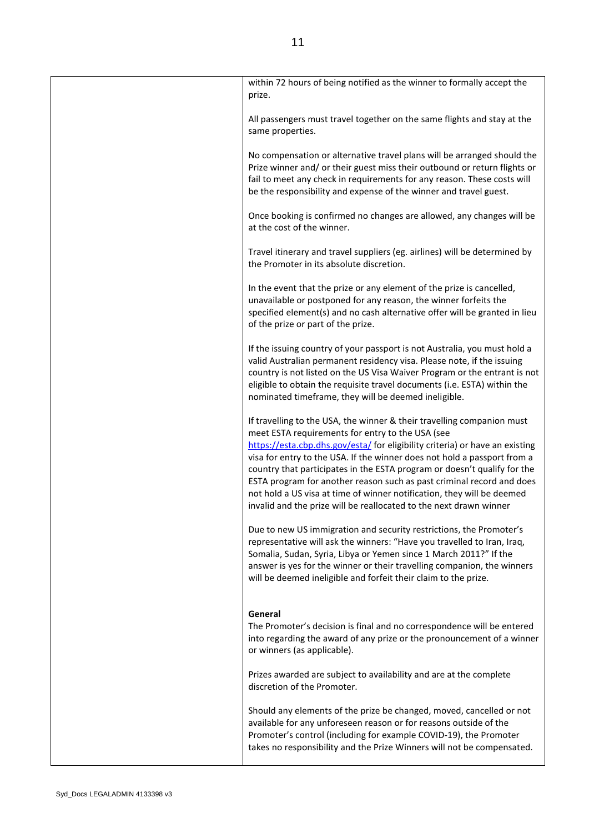| within 72 hours of being notified as the winner to formally accept the<br>prize.                                                                                                                                                                                                                                                                                                                                                                                                                                                                                                            |
|---------------------------------------------------------------------------------------------------------------------------------------------------------------------------------------------------------------------------------------------------------------------------------------------------------------------------------------------------------------------------------------------------------------------------------------------------------------------------------------------------------------------------------------------------------------------------------------------|
| All passengers must travel together on the same flights and stay at the<br>same properties.                                                                                                                                                                                                                                                                                                                                                                                                                                                                                                 |
| No compensation or alternative travel plans will be arranged should the<br>Prize winner and/ or their guest miss their outbound or return flights or<br>fail to meet any check in requirements for any reason. These costs will<br>be the responsibility and expense of the winner and travel guest.                                                                                                                                                                                                                                                                                        |
| Once booking is confirmed no changes are allowed, any changes will be<br>at the cost of the winner.                                                                                                                                                                                                                                                                                                                                                                                                                                                                                         |
| Travel itinerary and travel suppliers (eg. airlines) will be determined by<br>the Promoter in its absolute discretion.                                                                                                                                                                                                                                                                                                                                                                                                                                                                      |
| In the event that the prize or any element of the prize is cancelled,<br>unavailable or postponed for any reason, the winner forfeits the<br>specified element(s) and no cash alternative offer will be granted in lieu<br>of the prize or part of the prize.                                                                                                                                                                                                                                                                                                                               |
| If the issuing country of your passport is not Australia, you must hold a<br>valid Australian permanent residency visa. Please note, if the issuing<br>country is not listed on the US Visa Waiver Program or the entrant is not<br>eligible to obtain the requisite travel documents (i.e. ESTA) within the<br>nominated timeframe, they will be deemed ineligible.                                                                                                                                                                                                                        |
| If travelling to the USA, the winner & their travelling companion must<br>meet ESTA requirements for entry to the USA (see<br>https://esta.cbp.dhs.gov/esta/ for eligibility criteria) or have an existing<br>visa for entry to the USA. If the winner does not hold a passport from a<br>country that participates in the ESTA program or doesn't qualify for the<br>ESTA program for another reason such as past criminal record and does<br>not hold a US visa at time of winner notification, they will be deemed<br>invalid and the prize will be reallocated to the next drawn winner |
| Due to new US immigration and security restrictions, the Promoter's<br>representative will ask the winners: "Have you travelled to Iran, Iraq,<br>Somalia, Sudan, Syria, Libya or Yemen since 1 March 2011?" If the<br>answer is yes for the winner or their travelling companion, the winners<br>will be deemed ineligible and forfeit their claim to the prize.                                                                                                                                                                                                                           |
| General<br>The Promoter's decision is final and no correspondence will be entered<br>into regarding the award of any prize or the pronouncement of a winner<br>or winners (as applicable).                                                                                                                                                                                                                                                                                                                                                                                                  |
| Prizes awarded are subject to availability and are at the complete<br>discretion of the Promoter.                                                                                                                                                                                                                                                                                                                                                                                                                                                                                           |
| Should any elements of the prize be changed, moved, cancelled or not<br>available for any unforeseen reason or for reasons outside of the<br>Promoter's control (including for example COVID-19), the Promoter<br>takes no responsibility and the Prize Winners will not be compensated.                                                                                                                                                                                                                                                                                                    |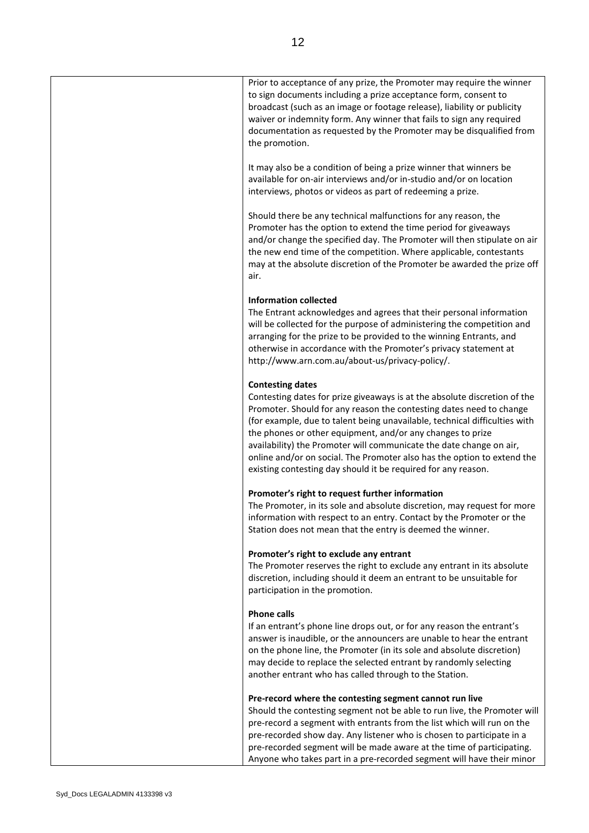| Prior to acceptance of any prize, the Promoter may require the winner<br>to sign documents including a prize acceptance form, consent to<br>broadcast (such as an image or footage release), liability or publicity<br>waiver or indemnity form. Any winner that fails to sign any required<br>documentation as requested by the Promoter may be disqualified from<br>the promotion.                                                                                                                                                       |
|--------------------------------------------------------------------------------------------------------------------------------------------------------------------------------------------------------------------------------------------------------------------------------------------------------------------------------------------------------------------------------------------------------------------------------------------------------------------------------------------------------------------------------------------|
| It may also be a condition of being a prize winner that winners be<br>available for on-air interviews and/or in-studio and/or on location<br>interviews, photos or videos as part of redeeming a prize.                                                                                                                                                                                                                                                                                                                                    |
| Should there be any technical malfunctions for any reason, the<br>Promoter has the option to extend the time period for giveaways<br>and/or change the specified day. The Promoter will then stipulate on air<br>the new end time of the competition. Where applicable, contestants<br>may at the absolute discretion of the Promoter be awarded the prize off<br>air.                                                                                                                                                                     |
| <b>Information collected</b><br>The Entrant acknowledges and agrees that their personal information<br>will be collected for the purpose of administering the competition and<br>arranging for the prize to be provided to the winning Entrants, and<br>otherwise in accordance with the Promoter's privacy statement at<br>http://www.arn.com.au/about-us/privacy-policy/.                                                                                                                                                                |
| <b>Contesting dates</b><br>Contesting dates for prize giveaways is at the absolute discretion of the<br>Promoter. Should for any reason the contesting dates need to change<br>(for example, due to talent being unavailable, technical difficulties with<br>the phones or other equipment, and/or any changes to prize<br>availability) the Promoter will communicate the date change on air,<br>online and/or on social. The Promoter also has the option to extend the<br>existing contesting day should it be required for any reason. |
| Promoter's right to request further information<br>The Promoter, in its sole and absolute discretion, may request for more<br>information with respect to an entry. Contact by the Promoter or the<br>Station does not mean that the entry is deemed the winner.                                                                                                                                                                                                                                                                           |
| Promoter's right to exclude any entrant<br>The Promoter reserves the right to exclude any entrant in its absolute<br>discretion, including should it deem an entrant to be unsuitable for<br>participation in the promotion.                                                                                                                                                                                                                                                                                                               |
| <b>Phone calls</b><br>If an entrant's phone line drops out, or for any reason the entrant's<br>answer is inaudible, or the announcers are unable to hear the entrant<br>on the phone line, the Promoter (in its sole and absolute discretion)<br>may decide to replace the selected entrant by randomly selecting<br>another entrant who has called through to the Station.                                                                                                                                                                |
| Pre-record where the contesting segment cannot run live<br>Should the contesting segment not be able to run live, the Promoter will<br>pre-record a segment with entrants from the list which will run on the<br>pre-recorded show day. Any listener who is chosen to participate in a<br>pre-recorded segment will be made aware at the time of participating.<br>Anyone who takes part in a pre-recorded segment will have their minor                                                                                                   |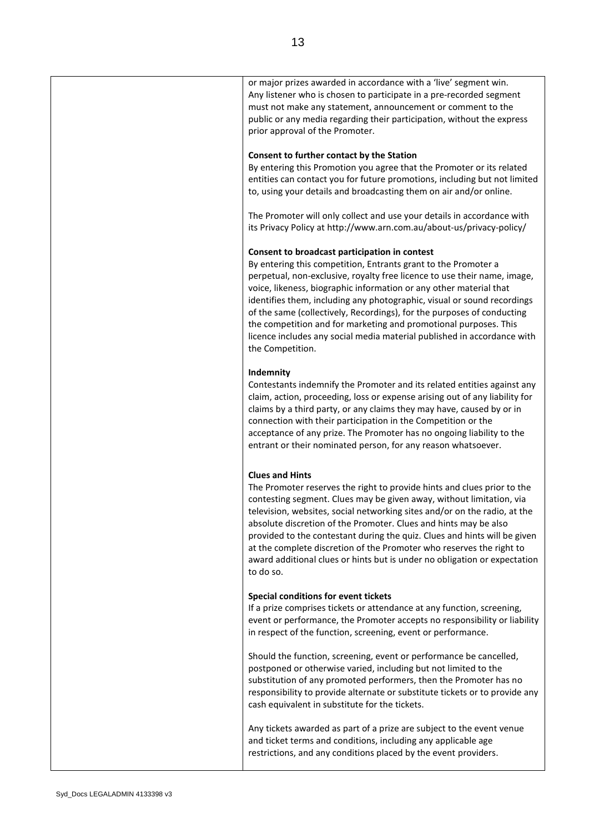| or major prizes awarded in accordance with a 'live' segment win.<br>Any listener who is chosen to participate in a pre-recorded segment<br>must not make any statement, announcement or comment to the<br>public or any media regarding their participation, without the express<br>prior approval of the Promoter.                                                                                                                                                                                                                                                                       |
|-------------------------------------------------------------------------------------------------------------------------------------------------------------------------------------------------------------------------------------------------------------------------------------------------------------------------------------------------------------------------------------------------------------------------------------------------------------------------------------------------------------------------------------------------------------------------------------------|
| Consent to further contact by the Station<br>By entering this Promotion you agree that the Promoter or its related<br>entities can contact you for future promotions, including but not limited<br>to, using your details and broadcasting them on air and/or online.                                                                                                                                                                                                                                                                                                                     |
| The Promoter will only collect and use your details in accordance with<br>its Privacy Policy at http://www.arn.com.au/about-us/privacy-policy/                                                                                                                                                                                                                                                                                                                                                                                                                                            |
| Consent to broadcast participation in contest<br>By entering this competition, Entrants grant to the Promoter a<br>perpetual, non-exclusive, royalty free licence to use their name, image,<br>voice, likeness, biographic information or any other material that<br>identifies them, including any photographic, visual or sound recordings<br>of the same (collectively, Recordings), for the purposes of conducting<br>the competition and for marketing and promotional purposes. This<br>licence includes any social media material published in accordance with<br>the Competition. |
| Indemnity<br>Contestants indemnify the Promoter and its related entities against any<br>claim, action, proceeding, loss or expense arising out of any liability for<br>claims by a third party, or any claims they may have, caused by or in<br>connection with their participation in the Competition or the<br>acceptance of any prize. The Promoter has no ongoing liability to the<br>entrant or their nominated person, for any reason whatsoever.                                                                                                                                   |
| <b>Clues and Hints</b><br>The Promoter reserves the right to provide hints and clues prior to the<br>contesting segment. Clues may be given away, without limitation, via<br>television, websites, social networking sites and/or on the radio, at the<br>absolute discretion of the Promoter. Clues and hints may be also<br>provided to the contestant during the quiz. Clues and hints will be given<br>at the complete discretion of the Promoter who reserves the right to<br>award additional clues or hints but is under no obligation or expectation<br>to do so.                 |
| Special conditions for event tickets<br>If a prize comprises tickets or attendance at any function, screening,<br>event or performance, the Promoter accepts no responsibility or liability<br>in respect of the function, screening, event or performance.                                                                                                                                                                                                                                                                                                                               |
| Should the function, screening, event or performance be cancelled,<br>postponed or otherwise varied, including but not limited to the<br>substitution of any promoted performers, then the Promoter has no<br>responsibility to provide alternate or substitute tickets or to provide any<br>cash equivalent in substitute for the tickets.                                                                                                                                                                                                                                               |
| Any tickets awarded as part of a prize are subject to the event venue<br>and ticket terms and conditions, including any applicable age<br>restrictions, and any conditions placed by the event providers.                                                                                                                                                                                                                                                                                                                                                                                 |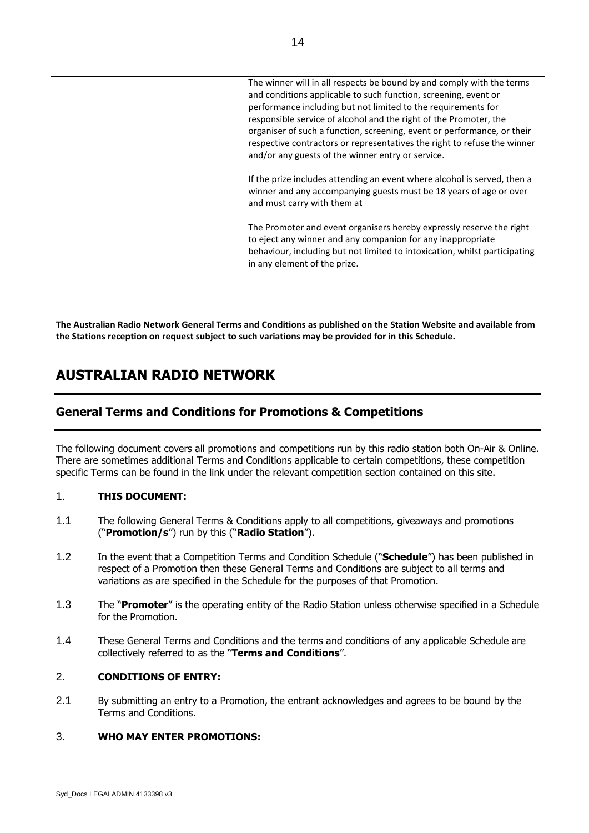| The winner will in all respects be bound by and comply with the terms<br>and conditions applicable to such function, screening, event or<br>performance including but not limited to the requirements for<br>responsible service of alcohol and the right of the Promoter, the<br>organiser of such a function, screening, event or performance, or their<br>respective contractors or representatives the right to refuse the winner<br>and/or any guests of the winner entry or service. |
|--------------------------------------------------------------------------------------------------------------------------------------------------------------------------------------------------------------------------------------------------------------------------------------------------------------------------------------------------------------------------------------------------------------------------------------------------------------------------------------------|
| If the prize includes attending an event where alcohol is served, then a<br>winner and any accompanying guests must be 18 years of age or over<br>and must carry with them at                                                                                                                                                                                                                                                                                                              |
| The Promoter and event organisers hereby expressly reserve the right<br>to eject any winner and any companion for any inappropriate<br>behaviour, including but not limited to intoxication, whilst participating<br>in any element of the prize.                                                                                                                                                                                                                                          |

**The Australian Radio Network General Terms and Conditions as published on the Station Website and available from the Stations reception on request subject to such variations may be provided for in this Schedule.**

# **AUSTRALIAN RADIO NETWORK**

# **General Terms and Conditions for Promotions & Competitions**

The following document covers all promotions and competitions run by this radio station both On-Air & Online. There are sometimes additional Terms and Conditions applicable to certain competitions, these competition specific Terms can be found in the link under the relevant competition section contained on this site.

## 1. **THIS DOCUMENT:**

- 1.1 The following General Terms & Conditions apply to all competitions, giveaways and promotions ("**Promotion/s**") run by this ("**Radio Station**").
- 1.2 In the event that a Competition Terms and Condition Schedule ("**Schedule**") has been published in respect of a Promotion then these General Terms and Conditions are subject to all terms and variations as are specified in the Schedule for the purposes of that Promotion.
- 1.3 The "**Promoter**" is the operating entity of the Radio Station unless otherwise specified in a Schedule for the Promotion.
- 1.4 These General Terms and Conditions and the terms and conditions of any applicable Schedule are collectively referred to as the "**Terms and Conditions**".

## 2. **CONDITIONS OF ENTRY:**

2.1 By submitting an entry to a Promotion, the entrant acknowledges and agrees to be bound by the Terms and Conditions.

#### 3. **WHO MAY ENTER PROMOTIONS:**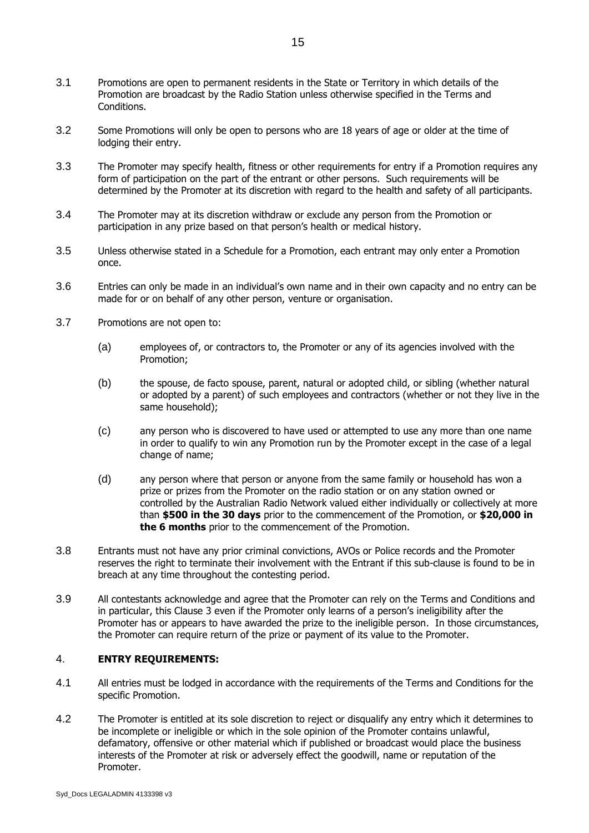- 3.1 Promotions are open to permanent residents in the State or Territory in which details of the Promotion are broadcast by the Radio Station unless otherwise specified in the Terms and Conditions.
- 3.2 Some Promotions will only be open to persons who are 18 years of age or older at the time of lodging their entry.
- 3.3 The Promoter may specify health, fitness or other requirements for entry if a Promotion requires any form of participation on the part of the entrant or other persons. Such requirements will be determined by the Promoter at its discretion with regard to the health and safety of all participants.
- 3.4 The Promoter may at its discretion withdraw or exclude any person from the Promotion or participation in any prize based on that person's health or medical history.
- 3.5 Unless otherwise stated in a Schedule for a Promotion, each entrant may only enter a Promotion once.
- 3.6 Entries can only be made in an individual's own name and in their own capacity and no entry can be made for or on behalf of any other person, venture or organisation.
- 3.7 Promotions are not open to:
	- (a) employees of, or contractors to, the Promoter or any of its agencies involved with the Promotion;
	- (b) the spouse, de facto spouse, parent, natural or adopted child, or sibling (whether natural or adopted by a parent) of such employees and contractors (whether or not they live in the same household);
	- (c) any person who is discovered to have used or attempted to use any more than one name in order to qualify to win any Promotion run by the Promoter except in the case of a legal change of name;
	- (d) any person where that person or anyone from the same family or household has won a prize or prizes from the Promoter on the radio station or on any station owned or controlled by the Australian Radio Network valued either individually or collectively at more than **\$500 in the 30 days** prior to the commencement of the Promotion, or **\$20,000 in the 6 months** prior to the commencement of the Promotion.
- 3.8 Entrants must not have any prior criminal convictions, AVOs or Police records and the Promoter reserves the right to terminate their involvement with the Entrant if this sub-clause is found to be in breach at any time throughout the contesting period.
- 3.9 All contestants acknowledge and agree that the Promoter can rely on the Terms and Conditions and in particular, this Clause 3 even if the Promoter only learns of a person's ineligibility after the Promoter has or appears to have awarded the prize to the ineligible person. In those circumstances, the Promoter can require return of the prize or payment of its value to the Promoter.

## 4. **ENTRY REQUIREMENTS:**

- 4.1 All entries must be lodged in accordance with the requirements of the Terms and Conditions for the specific Promotion.
- 4.2 The Promoter is entitled at its sole discretion to reject or disqualify any entry which it determines to be incomplete or ineligible or which in the sole opinion of the Promoter contains unlawful, defamatory, offensive or other material which if published or broadcast would place the business interests of the Promoter at risk or adversely effect the goodwill, name or reputation of the Promoter.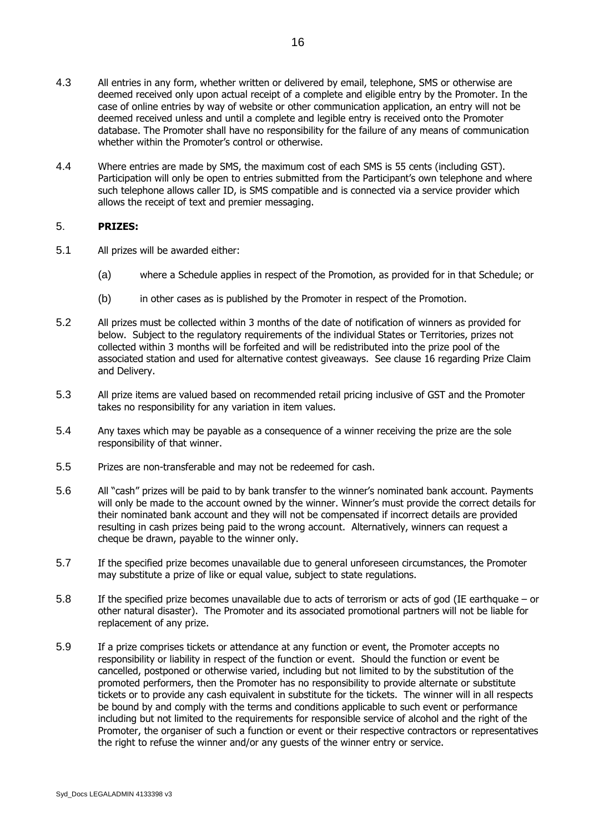- 4.3 All entries in any form, whether written or delivered by email, telephone, SMS or otherwise are deemed received only upon actual receipt of a complete and eligible entry by the Promoter. In the case of online entries by way of website or other communication application, an entry will not be deemed received unless and until a complete and legible entry is received onto the Promoter database. The Promoter shall have no responsibility for the failure of any means of communication whether within the Promoter's control or otherwise.
- 4.4 Where entries are made by SMS, the maximum cost of each SMS is 55 cents (including GST). Participation will only be open to entries submitted from the Participant's own telephone and where such telephone allows caller ID, is SMS compatible and is connected via a service provider which allows the receipt of text and premier messaging.

## 5. **PRIZES:**

- 5.1 All prizes will be awarded either:
	- (a) where a Schedule applies in respect of the Promotion, as provided for in that Schedule; or
	- (b) in other cases as is published by the Promoter in respect of the Promotion.
- 5.2 All prizes must be collected within 3 months of the date of notification of winners as provided for below. Subject to the regulatory requirements of the individual States or Territories, prizes not collected within 3 months will be forfeited and will be redistributed into the prize pool of the associated station and used for alternative contest giveaways. See clause 16 regarding Prize Claim and Delivery.
- 5.3 All prize items are valued based on recommended retail pricing inclusive of GST and the Promoter takes no responsibility for any variation in item values.
- 5.4 Any taxes which may be payable as a consequence of a winner receiving the prize are the sole responsibility of that winner.
- 5.5 Prizes are non-transferable and may not be redeemed for cash.
- 5.6 All "cash" prizes will be paid to by bank transfer to the winner's nominated bank account. Payments will only be made to the account owned by the winner. Winner's must provide the correct details for their nominated bank account and they will not be compensated if incorrect details are provided resulting in cash prizes being paid to the wrong account. Alternatively, winners can request a cheque be drawn, payable to the winner only.
- 5.7 If the specified prize becomes unavailable due to general unforeseen circumstances, the Promoter may substitute a prize of like or equal value, subject to state regulations.
- 5.8 If the specified prize becomes unavailable due to acts of terrorism or acts of god (IE earthquake or other natural disaster). The Promoter and its associated promotional partners will not be liable for replacement of any prize.
- 5.9 If a prize comprises tickets or attendance at any function or event, the Promoter accepts no responsibility or liability in respect of the function or event. Should the function or event be cancelled, postponed or otherwise varied, including but not limited to by the substitution of the promoted performers, then the Promoter has no responsibility to provide alternate or substitute tickets or to provide any cash equivalent in substitute for the tickets. The winner will in all respects be bound by and comply with the terms and conditions applicable to such event or performance including but not limited to the requirements for responsible service of alcohol and the right of the Promoter, the organiser of such a function or event or their respective contractors or representatives the right to refuse the winner and/or any guests of the winner entry or service.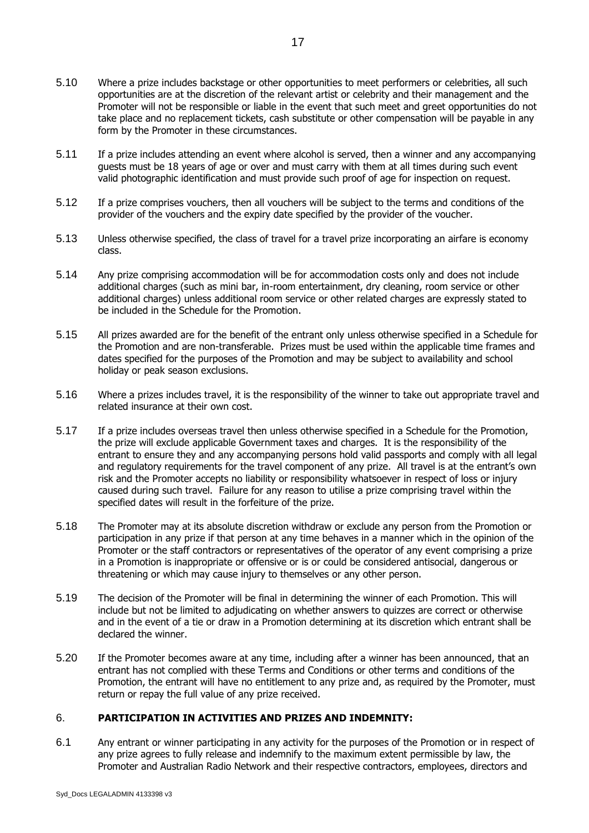- 5.10 Where a prize includes backstage or other opportunities to meet performers or celebrities, all such opportunities are at the discretion of the relevant artist or celebrity and their management and the Promoter will not be responsible or liable in the event that such meet and greet opportunities do not take place and no replacement tickets, cash substitute or other compensation will be payable in any form by the Promoter in these circumstances.
- 5.11 If a prize includes attending an event where alcohol is served, then a winner and any accompanying guests must be 18 years of age or over and must carry with them at all times during such event valid photographic identification and must provide such proof of age for inspection on request.
- 5.12 If a prize comprises vouchers, then all vouchers will be subject to the terms and conditions of the provider of the vouchers and the expiry date specified by the provider of the voucher.
- 5.13 Unless otherwise specified, the class of travel for a travel prize incorporating an airfare is economy class.
- 5.14 Any prize comprising accommodation will be for accommodation costs only and does not include additional charges (such as mini bar, in-room entertainment, dry cleaning, room service or other additional charges) unless additional room service or other related charges are expressly stated to be included in the Schedule for the Promotion.
- 5.15 All prizes awarded are for the benefit of the entrant only unless otherwise specified in a Schedule for the Promotion and are non-transferable. Prizes must be used within the applicable time frames and dates specified for the purposes of the Promotion and may be subject to availability and school holiday or peak season exclusions.
- 5.16 Where a prizes includes travel, it is the responsibility of the winner to take out appropriate travel and related insurance at their own cost.
- 5.17 If a prize includes overseas travel then unless otherwise specified in a Schedule for the Promotion, the prize will exclude applicable Government taxes and charges. It is the responsibility of the entrant to ensure they and any accompanying persons hold valid passports and comply with all legal and regulatory requirements for the travel component of any prize. All travel is at the entrant's own risk and the Promoter accepts no liability or responsibility whatsoever in respect of loss or injury caused during such travel. Failure for any reason to utilise a prize comprising travel within the specified dates will result in the forfeiture of the prize.
- 5.18 The Promoter may at its absolute discretion withdraw or exclude any person from the Promotion or participation in any prize if that person at any time behaves in a manner which in the opinion of the Promoter or the staff contractors or representatives of the operator of any event comprising a prize in a Promotion is inappropriate or offensive or is or could be considered antisocial, dangerous or threatening or which may cause injury to themselves or any other person.
- 5.19 The decision of the Promoter will be final in determining the winner of each Promotion. This will include but not be limited to adjudicating on whether answers to quizzes are correct or otherwise and in the event of a tie or draw in a Promotion determining at its discretion which entrant shall be declared the winner.
- 5.20 If the Promoter becomes aware at any time, including after a winner has been announced, that an entrant has not complied with these Terms and Conditions or other terms and conditions of the Promotion, the entrant will have no entitlement to any prize and, as required by the Promoter, must return or repay the full value of any prize received.

#### 6. **PARTICIPATION IN ACTIVITIES AND PRIZES AND INDEMNITY:**

<span id="page-16-0"></span>6.1 Any entrant or winner participating in any activity for the purposes of the Promotion or in respect of any prize agrees to fully release and indemnify to the maximum extent permissible by law, the Promoter and Australian Radio Network and their respective contractors, employees, directors and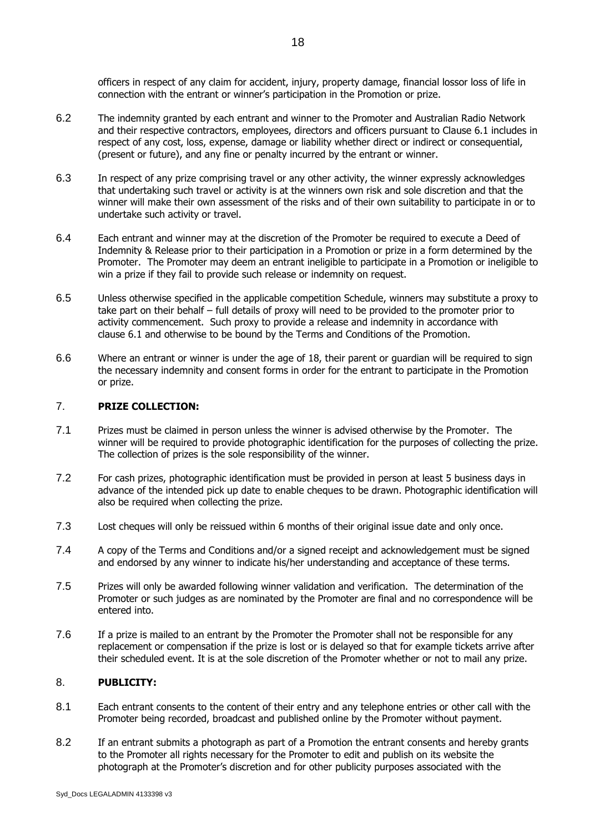officers in respect of any claim for accident, injury, property damage, financial lossor loss of life in connection with the entrant or winner's participation in the Promotion or prize.

- 6.2 The indemnity granted by each entrant and winner to the Promoter and Australian Radio Network and their respective contractors, employees, directors and officers pursuant to Clause 6.1 includes in respect of any cost, loss, expense, damage or liability whether direct or indirect or consequential, (present or future), and any fine or penalty incurred by the entrant or winner.
- 6.3 In respect of any prize comprising travel or any other activity, the winner expressly acknowledges that undertaking such travel or activity is at the winners own risk and sole discretion and that the winner will make their own assessment of the risks and of their own suitability to participate in or to undertake such activity or travel.
- 6.4 Each entrant and winner may at the discretion of the Promoter be required to execute a Deed of Indemnity & Release prior to their participation in a Promotion or prize in a form determined by the Promoter. The Promoter may deem an entrant ineligible to participate in a Promotion or ineligible to win a prize if they fail to provide such release or indemnity on request.
- 6.5 Unless otherwise specified in the applicable competition Schedule, winners may substitute a proxy to take part on their behalf – full details of proxy will need to be provided to the promoter prior to activity commencement. Such proxy to provide a release and indemnity in accordance with clause [6.1](#page-16-0) and otherwise to be bound by the Terms and Conditions of the Promotion.
- 6.6 Where an entrant or winner is under the age of 18, their parent or guardian will be required to sign the necessary indemnity and consent forms in order for the entrant to participate in the Promotion or prize.

#### 7. **PRIZE COLLECTION:**

- 7.1 Prizes must be claimed in person unless the winner is advised otherwise by the Promoter. The winner will be required to provide photographic identification for the purposes of collecting the prize. The collection of prizes is the sole responsibility of the winner.
- 7.2 For cash prizes, photographic identification must be provided in person at least 5 business days in advance of the intended pick up date to enable cheques to be drawn. Photographic identification will also be required when collecting the prize.
- 7.3 Lost cheques will only be reissued within 6 months of their original issue date and only once.
- 7.4 A copy of the Terms and Conditions and/or a signed receipt and acknowledgement must be signed and endorsed by any winner to indicate his/her understanding and acceptance of these terms.
- 7.5 Prizes will only be awarded following winner validation and verification. The determination of the Promoter or such judges as are nominated by the Promoter are final and no correspondence will be entered into.
- 7.6 If a prize is mailed to an entrant by the Promoter the Promoter shall not be responsible for any replacement or compensation if the prize is lost or is delayed so that for example tickets arrive after their scheduled event. It is at the sole discretion of the Promoter whether or not to mail any prize.

#### 8. **PUBLICITY:**

- 8.1 Each entrant consents to the content of their entry and any telephone entries or other call with the Promoter being recorded, broadcast and published online by the Promoter without payment.
- 8.2 If an entrant submits a photograph as part of a Promotion the entrant consents and hereby grants to the Promoter all rights necessary for the Promoter to edit and publish on its website the photograph at the Promoter's discretion and for other publicity purposes associated with the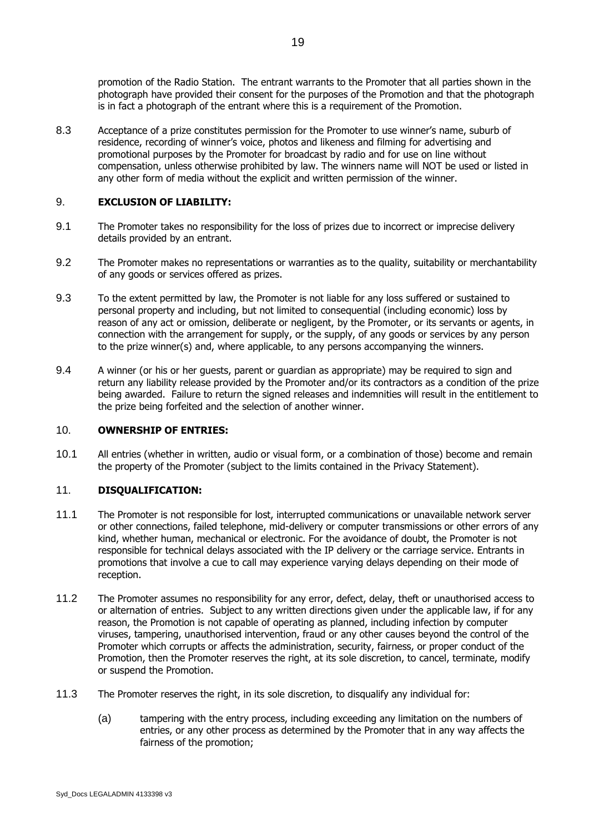promotion of the Radio Station. The entrant warrants to the Promoter that all parties shown in the photograph have provided their consent for the purposes of the Promotion and that the photograph is in fact a photograph of the entrant where this is a requirement of the Promotion.

8.3 Acceptance of a prize constitutes permission for the Promoter to use winner's name, suburb of residence, recording of winner's voice, photos and likeness and filming for advertising and promotional purposes by the Promoter for broadcast by radio and for use on line without compensation, unless otherwise prohibited by law. The winners name will NOT be used or listed in any other form of media without the explicit and written permission of the winner.

## 9. **EXCLUSION OF LIABILITY:**

- 9.1 The Promoter takes no responsibility for the loss of prizes due to incorrect or imprecise delivery details provided by an entrant.
- 9.2 The Promoter makes no representations or warranties as to the quality, suitability or merchantability of any goods or services offered as prizes.
- 9.3 To the extent permitted by law, the Promoter is not liable for any loss suffered or sustained to personal property and including, but not limited to consequential (including economic) loss by reason of any act or omission, deliberate or negligent, by the Promoter, or its servants or agents, in connection with the arrangement for supply, or the supply, of any goods or services by any person to the prize winner(s) and, where applicable, to any persons accompanying the winners.
- 9.4 A winner (or his or her guests, parent or guardian as appropriate) may be required to sign and return any liability release provided by the Promoter and/or its contractors as a condition of the prize being awarded. Failure to return the signed releases and indemnities will result in the entitlement to the prize being forfeited and the selection of another winner.

#### 10. **OWNERSHIP OF ENTRIES:**

10.1 All entries (whether in written, audio or visual form, or a combination of those) become and remain the property of the Promoter (subject to the limits contained in the Privacy Statement).

#### 11. **DISQUALIFICATION:**

- 11.1 The Promoter is not responsible for lost, interrupted communications or unavailable network server or other connections, failed telephone, mid-delivery or computer transmissions or other errors of any kind, whether human, mechanical or electronic. For the avoidance of doubt, the Promoter is not responsible for technical delays associated with the IP delivery or the carriage service. Entrants in promotions that involve a cue to call may experience varying delays depending on their mode of reception.
- 11.2 The Promoter assumes no responsibility for any error, defect, delay, theft or unauthorised access to or alternation of entries. Subject to any written directions given under the applicable law, if for any reason, the Promotion is not capable of operating as planned, including infection by computer viruses, tampering, unauthorised intervention, fraud or any other causes beyond the control of the Promoter which corrupts or affects the administration, security, fairness, or proper conduct of the Promotion, then the Promoter reserves the right, at its sole discretion, to cancel, terminate, modify or suspend the Promotion.
- 11.3 The Promoter reserves the right, in its sole discretion, to disqualify any individual for:
	- (a) tampering with the entry process, including exceeding any limitation on the numbers of entries, or any other process as determined by the Promoter that in any way affects the fairness of the promotion;